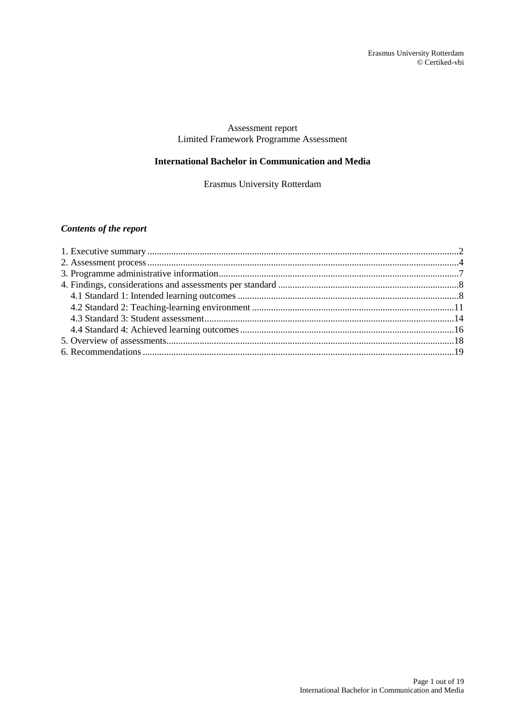## Assessment report Limited Framework Programme Assessment

### **International Bachelor in Communication and Media**

Erasmus University Rotterdam

# *Contents of the report*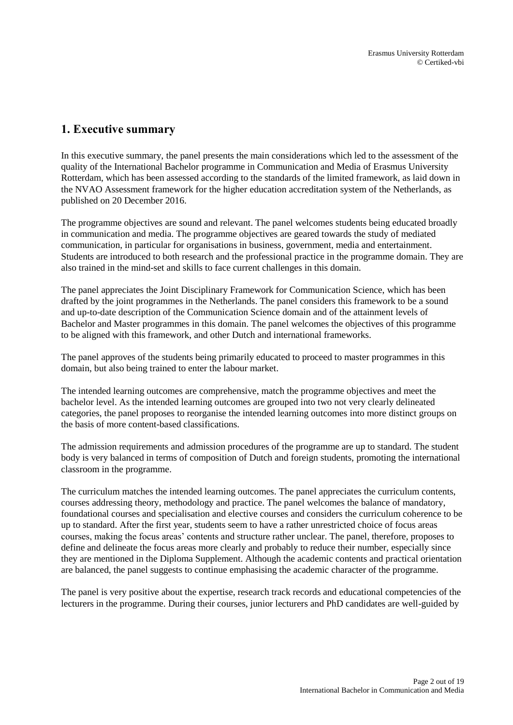# <span id="page-1-0"></span>**1. Executive summary**

In this executive summary, the panel presents the main considerations which led to the assessment of the quality of the International Bachelor programme in Communication and Media of Erasmus University Rotterdam, which has been assessed according to the standards of the limited framework, as laid down in the NVAO Assessment framework for the higher education accreditation system of the Netherlands, as published on 20 December 2016.

The programme objectives are sound and relevant. The panel welcomes students being educated broadly in communication and media. The programme objectives are geared towards the study of mediated communication, in particular for organisations in business, government, media and entertainment. Students are introduced to both research and the professional practice in the programme domain. They are also trained in the mind-set and skills to face current challenges in this domain.

The panel appreciates the Joint Disciplinary Framework for Communication Science, which has been drafted by the joint programmes in the Netherlands. The panel considers this framework to be a sound and up-to-date description of the Communication Science domain and of the attainment levels of Bachelor and Master programmes in this domain. The panel welcomes the objectives of this programme to be aligned with this framework, and other Dutch and international frameworks.

The panel approves of the students being primarily educated to proceed to master programmes in this domain, but also being trained to enter the labour market.

The intended learning outcomes are comprehensive, match the programme objectives and meet the bachelor level. As the intended learning outcomes are grouped into two not very clearly delineated categories, the panel proposes to reorganise the intended learning outcomes into more distinct groups on the basis of more content-based classifications.

The admission requirements and admission procedures of the programme are up to standard. The student body is very balanced in terms of composition of Dutch and foreign students, promoting the international classroom in the programme.

The curriculum matches the intended learning outcomes. The panel appreciates the curriculum contents, courses addressing theory, methodology and practice. The panel welcomes the balance of mandatory, foundational courses and specialisation and elective courses and considers the curriculum coherence to be up to standard. After the first year, students seem to have a rather unrestricted choice of focus areas courses, making the focus areas' contents and structure rather unclear. The panel, therefore, proposes to define and delineate the focus areas more clearly and probably to reduce their number, especially since they are mentioned in the Diploma Supplement. Although the academic contents and practical orientation are balanced, the panel suggests to continue emphasising the academic character of the programme.

The panel is very positive about the expertise, research track records and educational competencies of the lecturers in the programme. During their courses, junior lecturers and PhD candidates are well-guided by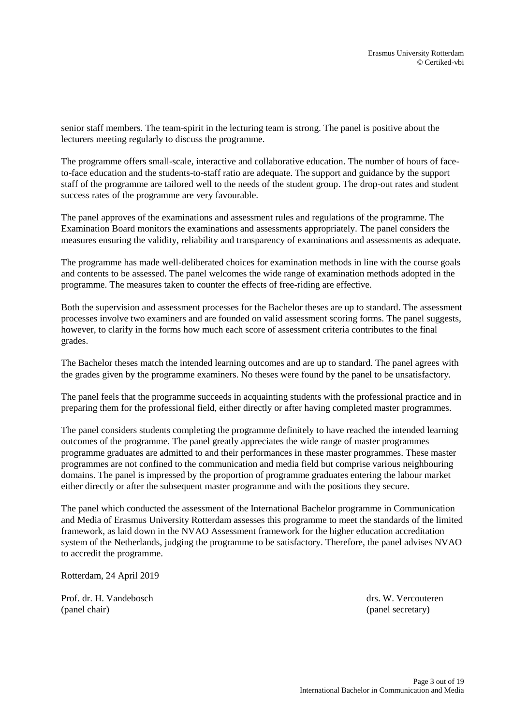senior staff members. The team-spirit in the lecturing team is strong. The panel is positive about the lecturers meeting regularly to discuss the programme.

The programme offers small-scale, interactive and collaborative education. The number of hours of faceto-face education and the students-to-staff ratio are adequate. The support and guidance by the support staff of the programme are tailored well to the needs of the student group. The drop-out rates and student success rates of the programme are very favourable.

The panel approves of the examinations and assessment rules and regulations of the programme. The Examination Board monitors the examinations and assessments appropriately. The panel considers the measures ensuring the validity, reliability and transparency of examinations and assessments as adequate.

The programme has made well-deliberated choices for examination methods in line with the course goals and contents to be assessed. The panel welcomes the wide range of examination methods adopted in the programme. The measures taken to counter the effects of free-riding are effective.

Both the supervision and assessment processes for the Bachelor theses are up to standard. The assessment processes involve two examiners and are founded on valid assessment scoring forms. The panel suggests, however, to clarify in the forms how much each score of assessment criteria contributes to the final grades.

The Bachelor theses match the intended learning outcomes and are up to standard. The panel agrees with the grades given by the programme examiners. No theses were found by the panel to be unsatisfactory.

The panel feels that the programme succeeds in acquainting students with the professional practice and in preparing them for the professional field, either directly or after having completed master programmes.

The panel considers students completing the programme definitely to have reached the intended learning outcomes of the programme. The panel greatly appreciates the wide range of master programmes programme graduates are admitted to and their performances in these master programmes. These master programmes are not confined to the communication and media field but comprise various neighbouring domains. The panel is impressed by the proportion of programme graduates entering the labour market either directly or after the subsequent master programme and with the positions they secure.

The panel which conducted the assessment of the International Bachelor programme in Communication and Media of Erasmus University Rotterdam assesses this programme to meet the standards of the limited framework, as laid down in the NVAO Assessment framework for the higher education accreditation system of the Netherlands, judging the programme to be satisfactory. Therefore, the panel advises NVAO to accredit the programme.

Rotterdam, 24 April 2019

Prof. dr. H. Vandebosch drs. W. Vercouteren (panel chair) (panel secretary)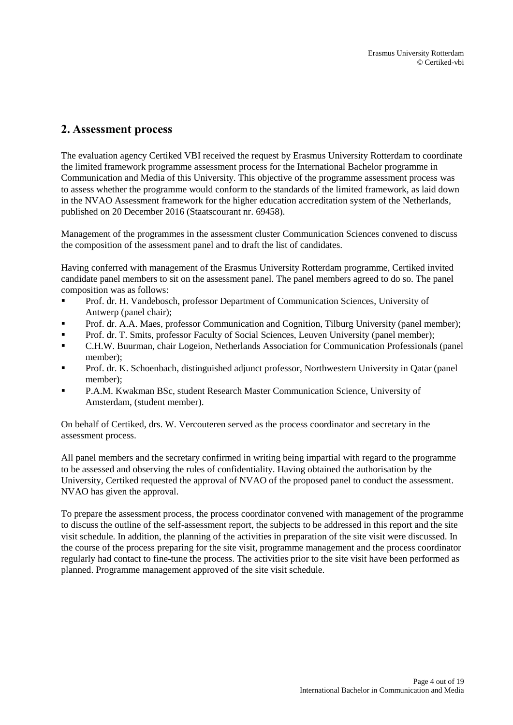# <span id="page-3-0"></span>**2. Assessment process**

The evaluation agency Certiked VBI received the request by Erasmus University Rotterdam to coordinate the limited framework programme assessment process for the International Bachelor programme in Communication and Media of this University. This objective of the programme assessment process was to assess whether the programme would conform to the standards of the limited framework, as laid down in the NVAO Assessment framework for the higher education accreditation system of the Netherlands, published on 20 December 2016 (Staatscourant nr. 69458).

Management of the programmes in the assessment cluster Communication Sciences convened to discuss the composition of the assessment panel and to draft the list of candidates.

Having conferred with management of the Erasmus University Rotterdam programme, Certiked invited candidate panel members to sit on the assessment panel. The panel members agreed to do so. The panel composition was as follows:

- Prof. dr. H. Vandebosch, professor Department of Communication Sciences, University of Antwerp (panel chair);
- Prof. dr. A.A. Maes, professor Communication and Cognition, Tilburg University (panel member);
- **Prof. dr. T. Smits, professor Faculty of Social Sciences, Leuven University (panel member);**
- C.H.W. Buurman, chair Logeion, Netherlands Association for Communication Professionals (panel member);
- Prof. dr. K. Schoenbach, distinguished adjunct professor, Northwestern University in Qatar (panel member);
- P.A.M. Kwakman BSc, student Research Master Communication Science, University of Amsterdam, (student member).

On behalf of Certiked, drs. W. Vercouteren served as the process coordinator and secretary in the assessment process.

All panel members and the secretary confirmed in writing being impartial with regard to the programme to be assessed and observing the rules of confidentiality. Having obtained the authorisation by the University, Certiked requested the approval of NVAO of the proposed panel to conduct the assessment. NVAO has given the approval.

To prepare the assessment process, the process coordinator convened with management of the programme to discuss the outline of the self-assessment report, the subjects to be addressed in this report and the site visit schedule. In addition, the planning of the activities in preparation of the site visit were discussed. In the course of the process preparing for the site visit, programme management and the process coordinator regularly had contact to fine-tune the process. The activities prior to the site visit have been performed as planned. Programme management approved of the site visit schedule.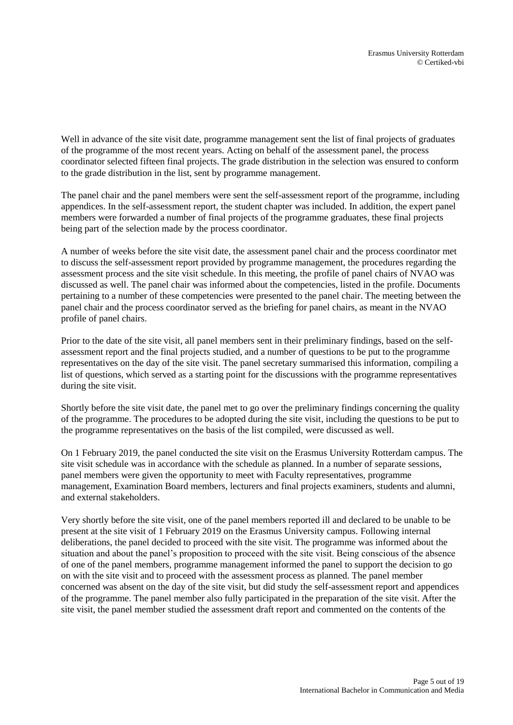Well in advance of the site visit date, programme management sent the list of final projects of graduates of the programme of the most recent years. Acting on behalf of the assessment panel, the process coordinator selected fifteen final projects. The grade distribution in the selection was ensured to conform to the grade distribution in the list, sent by programme management.

The panel chair and the panel members were sent the self-assessment report of the programme, including appendices. In the self-assessment report, the student chapter was included. In addition, the expert panel members were forwarded a number of final projects of the programme graduates, these final projects being part of the selection made by the process coordinator.

A number of weeks before the site visit date, the assessment panel chair and the process coordinator met to discuss the self-assessment report provided by programme management, the procedures regarding the assessment process and the site visit schedule. In this meeting, the profile of panel chairs of NVAO was discussed as well. The panel chair was informed about the competencies, listed in the profile. Documents pertaining to a number of these competencies were presented to the panel chair. The meeting between the panel chair and the process coordinator served as the briefing for panel chairs, as meant in the NVAO profile of panel chairs.

Prior to the date of the site visit, all panel members sent in their preliminary findings, based on the selfassessment report and the final projects studied, and a number of questions to be put to the programme representatives on the day of the site visit. The panel secretary summarised this information, compiling a list of questions, which served as a starting point for the discussions with the programme representatives during the site visit.

Shortly before the site visit date, the panel met to go over the preliminary findings concerning the quality of the programme. The procedures to be adopted during the site visit, including the questions to be put to the programme representatives on the basis of the list compiled, were discussed as well.

On 1 February 2019, the panel conducted the site visit on the Erasmus University Rotterdam campus. The site visit schedule was in accordance with the schedule as planned. In a number of separate sessions, panel members were given the opportunity to meet with Faculty representatives, programme management, Examination Board members, lecturers and final projects examiners, students and alumni, and external stakeholders.

Very shortly before the site visit, one of the panel members reported ill and declared to be unable to be present at the site visit of 1 February 2019 on the Erasmus University campus. Following internal deliberations, the panel decided to proceed with the site visit. The programme was informed about the situation and about the panel's proposition to proceed with the site visit. Being conscious of the absence of one of the panel members, programme management informed the panel to support the decision to go on with the site visit and to proceed with the assessment process as planned. The panel member concerned was absent on the day of the site visit, but did study the self-assessment report and appendices of the programme. The panel member also fully participated in the preparation of the site visit. After the site visit, the panel member studied the assessment draft report and commented on the contents of the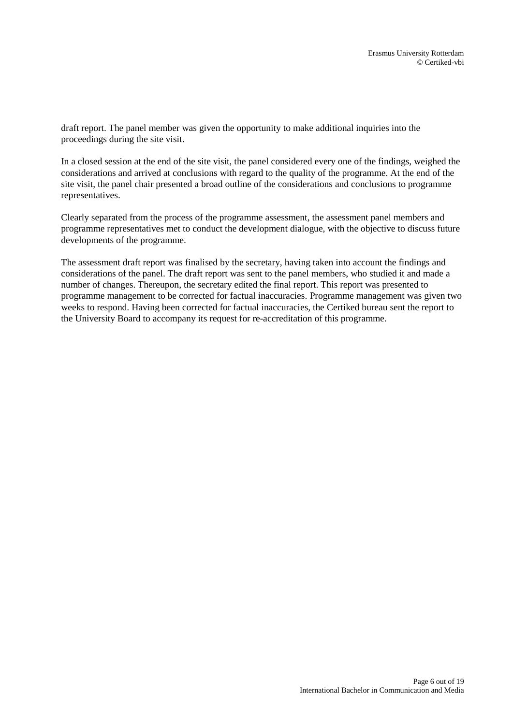draft report. The panel member was given the opportunity to make additional inquiries into the proceedings during the site visit.

In a closed session at the end of the site visit, the panel considered every one of the findings, weighed the considerations and arrived at conclusions with regard to the quality of the programme. At the end of the site visit, the panel chair presented a broad outline of the considerations and conclusions to programme representatives.

Clearly separated from the process of the programme assessment, the assessment panel members and programme representatives met to conduct the development dialogue, with the objective to discuss future developments of the programme.

The assessment draft report was finalised by the secretary, having taken into account the findings and considerations of the panel. The draft report was sent to the panel members, who studied it and made a number of changes. Thereupon, the secretary edited the final report. This report was presented to programme management to be corrected for factual inaccuracies. Programme management was given two weeks to respond. Having been corrected for factual inaccuracies, the Certiked bureau sent the report to the University Board to accompany its request for re-accreditation of this programme.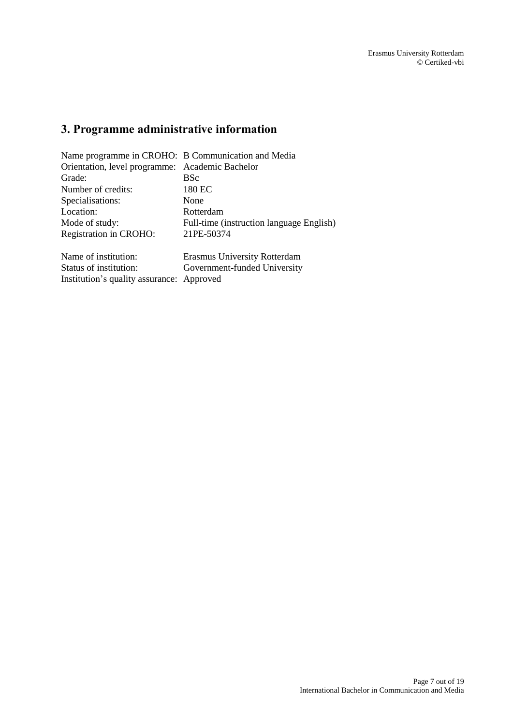# <span id="page-6-0"></span>**3. Programme administrative information**

| Name programme in CROHO: B Communication and Media |                                          |  |
|----------------------------------------------------|------------------------------------------|--|
| Orientation, level programme: Academic Bachelor    |                                          |  |
| Grade:                                             | <b>BSc</b>                               |  |
| Number of credits:                                 | 180 EC                                   |  |
| Specialisations:                                   | None                                     |  |
| Location:                                          | Rotterdam                                |  |
| Mode of study:                                     | Full-time (instruction language English) |  |
| Registration in CROHO:                             | 21PE-50374                               |  |
| Name of institution:                               | <b>Erasmus University Rotterdam</b>      |  |
| Status of institution:                             | Government-funded University             |  |

Institution's quality assurance: Approved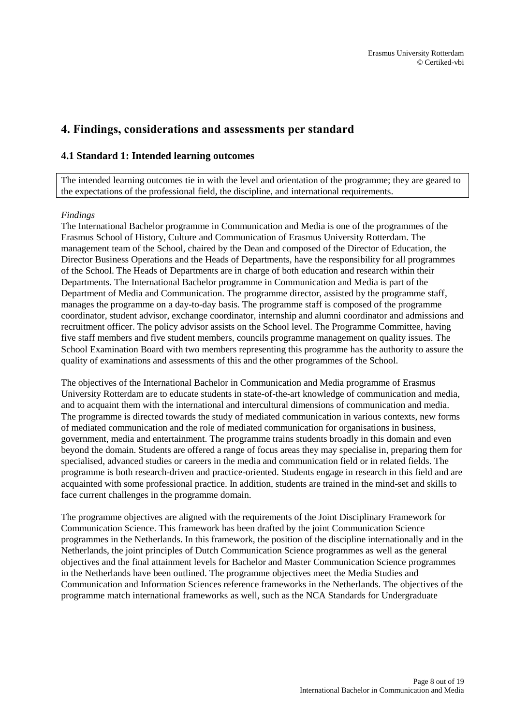# <span id="page-7-0"></span>**4. Findings, considerations and assessments per standard**

## <span id="page-7-1"></span>**4.1 Standard 1: Intended learning outcomes**

The intended learning outcomes tie in with the level and orientation of the programme; they are geared to the expectations of the professional field, the discipline, and international requirements.

#### *Findings*

The International Bachelor programme in Communication and Media is one of the programmes of the Erasmus School of History, Culture and Communication of Erasmus University Rotterdam. The management team of the School, chaired by the Dean and composed of the Director of Education, the Director Business Operations and the Heads of Departments, have the responsibility for all programmes of the School. The Heads of Departments are in charge of both education and research within their Departments. The International Bachelor programme in Communication and Media is part of the Department of Media and Communication. The programme director, assisted by the programme staff, manages the programme on a day-to-day basis. The programme staff is composed of the programme coordinator, student advisor, exchange coordinator, internship and alumni coordinator and admissions and recruitment officer. The policy advisor assists on the School level. The Programme Committee, having five staff members and five student members, councils programme management on quality issues. The School Examination Board with two members representing this programme has the authority to assure the quality of examinations and assessments of this and the other programmes of the School.

The objectives of the International Bachelor in Communication and Media programme of Erasmus University Rotterdam are to educate students in state-of-the-art knowledge of communication and media, and to acquaint them with the international and intercultural dimensions of communication and media. The programme is directed towards the study of mediated communication in various contexts, new forms of mediated communication and the role of mediated communication for organisations in business, government, media and entertainment. The programme trains students broadly in this domain and even beyond the domain. Students are offered a range of focus areas they may specialise in, preparing them for specialised, advanced studies or careers in the media and communication field or in related fields. The programme is both research-driven and practice-oriented. Students engage in research in this field and are acquainted with some professional practice. In addition, students are trained in the mind-set and skills to face current challenges in the programme domain.

The programme objectives are aligned with the requirements of the Joint Disciplinary Framework for Communication Science. This framework has been drafted by the joint Communication Science programmes in the Netherlands. In this framework, the position of the discipline internationally and in the Netherlands, the joint principles of Dutch Communication Science programmes as well as the general objectives and the final attainment levels for Bachelor and Master Communication Science programmes in the Netherlands have been outlined. The programme objectives meet the Media Studies and Communication and Information Sciences reference frameworks in the Netherlands. The objectives of the programme match international frameworks as well, such as the NCA Standards for Undergraduate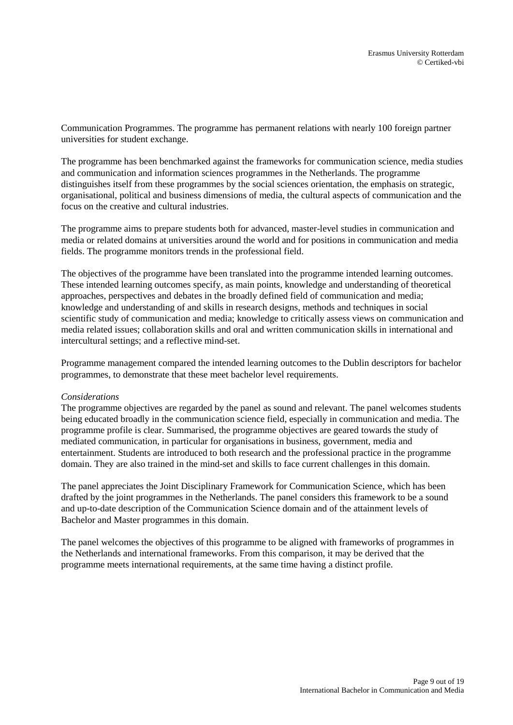Communication Programmes. The programme has permanent relations with nearly 100 foreign partner universities for student exchange.

The programme has been benchmarked against the frameworks for communication science, media studies and communication and information sciences programmes in the Netherlands. The programme distinguishes itself from these programmes by the social sciences orientation, the emphasis on strategic, organisational, political and business dimensions of media, the cultural aspects of communication and the focus on the creative and cultural industries.

The programme aims to prepare students both for advanced, master-level studies in communication and media or related domains at universities around the world and for positions in communication and media fields. The programme monitors trends in the professional field.

The objectives of the programme have been translated into the programme intended learning outcomes. These intended learning outcomes specify, as main points, knowledge and understanding of theoretical approaches, perspectives and debates in the broadly defined field of communication and media; knowledge and understanding of and skills in research designs, methods and techniques in social scientific study of communication and media; knowledge to critically assess views on communication and media related issues; collaboration skills and oral and written communication skills in international and intercultural settings; and a reflective mind-set.

Programme management compared the intended learning outcomes to the Dublin descriptors for bachelor programmes, to demonstrate that these meet bachelor level requirements.

#### *Considerations*

The programme objectives are regarded by the panel as sound and relevant. The panel welcomes students being educated broadly in the communication science field, especially in communication and media. The programme profile is clear. Summarised, the programme objectives are geared towards the study of mediated communication, in particular for organisations in business, government, media and entertainment. Students are introduced to both research and the professional practice in the programme domain. They are also trained in the mind-set and skills to face current challenges in this domain.

The panel appreciates the Joint Disciplinary Framework for Communication Science, which has been drafted by the joint programmes in the Netherlands. The panel considers this framework to be a sound and up-to-date description of the Communication Science domain and of the attainment levels of Bachelor and Master programmes in this domain.

The panel welcomes the objectives of this programme to be aligned with frameworks of programmes in the Netherlands and international frameworks. From this comparison, it may be derived that the programme meets international requirements, at the same time having a distinct profile.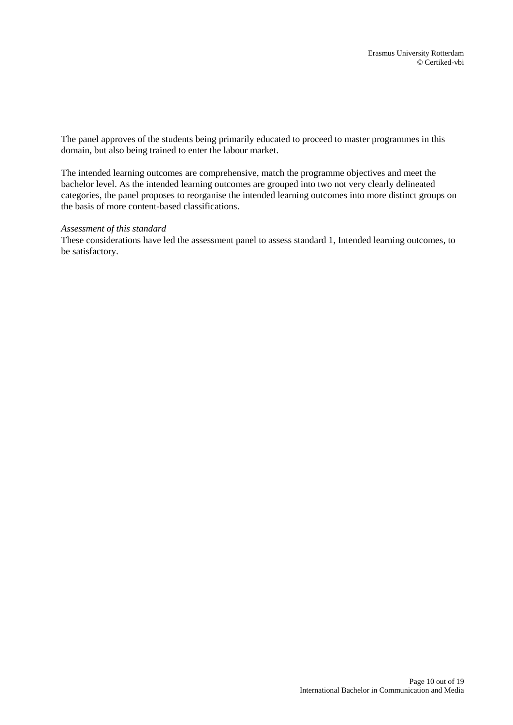The panel approves of the students being primarily educated to proceed to master programmes in this domain, but also being trained to enter the labour market.

The intended learning outcomes are comprehensive, match the programme objectives and meet the bachelor level. As the intended learning outcomes are grouped into two not very clearly delineated categories, the panel proposes to reorganise the intended learning outcomes into more distinct groups on the basis of more content-based classifications.

#### *Assessment of this standard*

<span id="page-9-0"></span>These considerations have led the assessment panel to assess standard 1, Intended learning outcomes, to be satisfactory.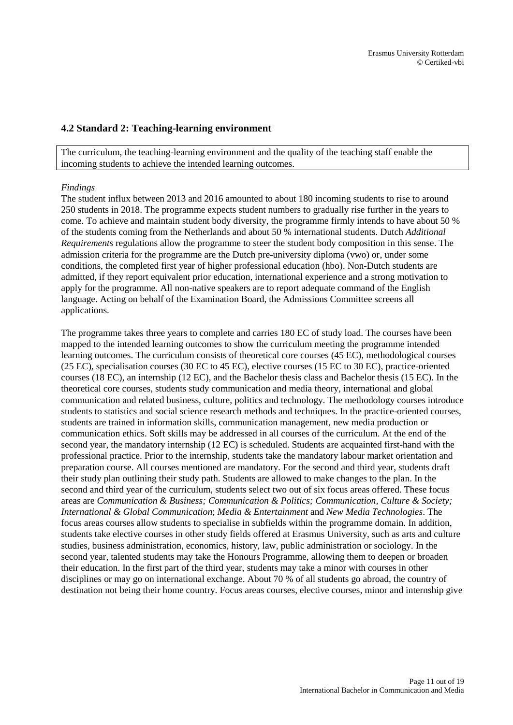## **4.2 Standard 2: Teaching-learning environment**

The curriculum, the teaching-learning environment and the quality of the teaching staff enable the incoming students to achieve the intended learning outcomes.

#### *Findings*

The student influx between 2013 and 2016 amounted to about 180 incoming students to rise to around 250 students in 2018. The programme expects student numbers to gradually rise further in the years to come. To achieve and maintain student body diversity, the programme firmly intends to have about 50 % of the students coming from the Netherlands and about 50 % international students. Dutch *Additional Requirements* regulations allow the programme to steer the student body composition in this sense. The admission criteria for the programme are the Dutch pre-university diploma (vwo) or, under some conditions, the completed first year of higher professional education (hbo). Non-Dutch students are admitted, if they report equivalent prior education, international experience and a strong motivation to apply for the programme. All non-native speakers are to report adequate command of the English language. Acting on behalf of the Examination Board, the Admissions Committee screens all applications.

The programme takes three years to complete and carries 180 EC of study load. The courses have been mapped to the intended learning outcomes to show the curriculum meeting the programme intended learning outcomes. The curriculum consists of theoretical core courses (45 EC), methodological courses (25 EC), specialisation courses (30 EC to 45 EC), elective courses (15 EC to 30 EC), practice-oriented courses (18 EC), an internship (12 EC), and the Bachelor thesis class and Bachelor thesis (15 EC). In the theoretical core courses, students study communication and media theory, international and global communication and related business, culture, politics and technology. The methodology courses introduce students to statistics and social science research methods and techniques. In the practice-oriented courses, students are trained in information skills, communication management, new media production or communication ethics. Soft skills may be addressed in all courses of the curriculum. At the end of the second year, the mandatory internship (12 EC) is scheduled. Students are acquainted first-hand with the professional practice. Prior to the internship, students take the mandatory labour market orientation and preparation course. All courses mentioned are mandatory. For the second and third year, students draft their study plan outlining their study path. Students are allowed to make changes to the plan. In the second and third year of the curriculum, students select two out of six focus areas offered. These focus areas are *Communication & Business; Communication & Politics; Communication, Culture & Society; International & Global Communication*; *Media & Entertainment* and *New Media Technologies*. The focus areas courses allow students to specialise in subfields within the programme domain. In addition, students take elective courses in other study fields offered at Erasmus University, such as arts and culture studies, business administration, economics, history, law, public administration or sociology. In the second year, talented students may take the Honours Programme, allowing them to deepen or broaden their education. In the first part of the third year, students may take a minor with courses in other disciplines or may go on international exchange. About 70 % of all students go abroad, the country of destination not being their home country. Focus areas courses, elective courses, minor and internship give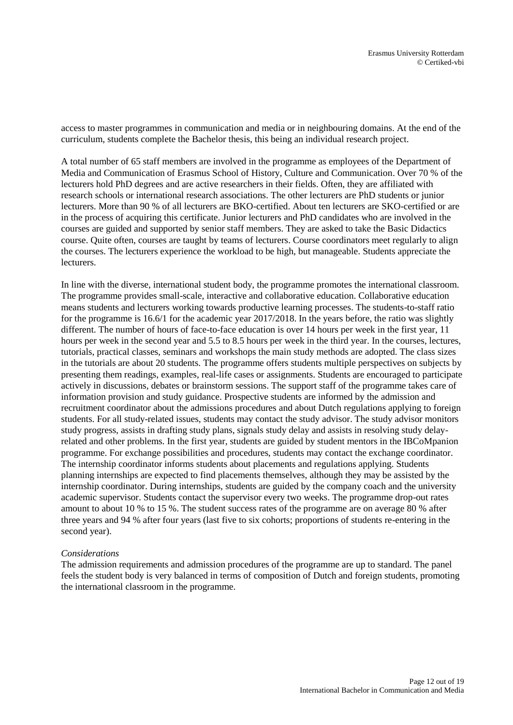access to master programmes in communication and media or in neighbouring domains. At the end of the curriculum, students complete the Bachelor thesis, this being an individual research project.

A total number of 65 staff members are involved in the programme as employees of the Department of Media and Communication of Erasmus School of History, Culture and Communication. Over 70 % of the lecturers hold PhD degrees and are active researchers in their fields. Often, they are affiliated with research schools or international research associations. The other lecturers are PhD students or junior lecturers. More than 90 % of all lecturers are BKO-certified. About ten lecturers are SKO-certified or are in the process of acquiring this certificate. Junior lecturers and PhD candidates who are involved in the courses are guided and supported by senior staff members. They are asked to take the Basic Didactics course. Quite often, courses are taught by teams of lecturers. Course coordinators meet regularly to align the courses. The lecturers experience the workload to be high, but manageable. Students appreciate the lecturers.

In line with the diverse, international student body, the programme promotes the international classroom. The programme provides small-scale, interactive and collaborative education. Collaborative education means students and lecturers working towards productive learning processes. The students-to-staff ratio for the programme is 16.6/1 for the academic year 2017/2018. In the years before, the ratio was slightly different. The number of hours of face-to-face education is over 14 hours per week in the first year, 11 hours per week in the second year and 5.5 to 8.5 hours per week in the third year. In the courses, lectures, tutorials, practical classes, seminars and workshops the main study methods are adopted. The class sizes in the tutorials are about 20 students. The programme offers students multiple perspectives on subjects by presenting them readings, examples, real-life cases or assignments. Students are encouraged to participate actively in discussions, debates or brainstorm sessions. The support staff of the programme takes care of information provision and study guidance. Prospective students are informed by the admission and recruitment coordinator about the admissions procedures and about Dutch regulations applying to foreign students. For all study-related issues, students may contact the study advisor. The study advisor monitors study progress, assists in drafting study plans, signals study delay and assists in resolving study delayrelated and other problems. In the first year, students are guided by student mentors in the IBCoMpanion programme. For exchange possibilities and procedures, students may contact the exchange coordinator. The internship coordinator informs students about placements and regulations applying. Students planning internships are expected to find placements themselves, although they may be assisted by the internship coordinator. During internships, students are guided by the company coach and the university academic supervisor. Students contact the supervisor every two weeks. The programme drop-out rates amount to about 10 % to 15 %. The student success rates of the programme are on average 80 % after three years and 94 % after four years (last five to six cohorts; proportions of students re-entering in the second year).

#### *Considerations*

The admission requirements and admission procedures of the programme are up to standard. The panel feels the student body is very balanced in terms of composition of Dutch and foreign students, promoting the international classroom in the programme.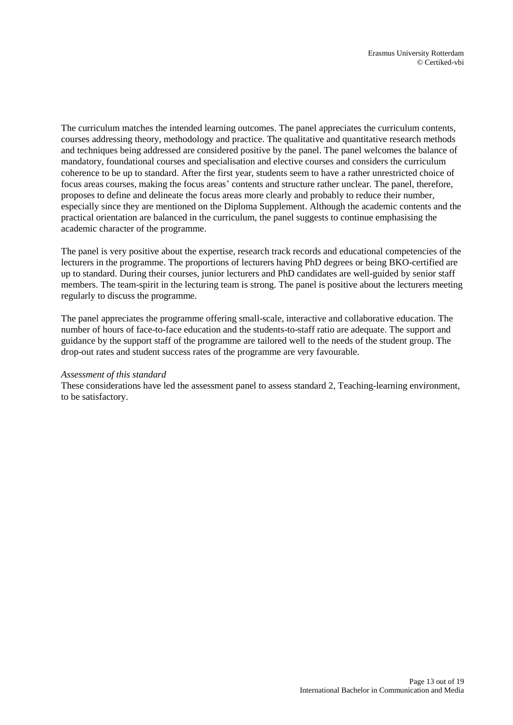The curriculum matches the intended learning outcomes. The panel appreciates the curriculum contents, courses addressing theory, methodology and practice. The qualitative and quantitative research methods and techniques being addressed are considered positive by the panel. The panel welcomes the balance of mandatory, foundational courses and specialisation and elective courses and considers the curriculum coherence to be up to standard. After the first year, students seem to have a rather unrestricted choice of focus areas courses, making the focus areas' contents and structure rather unclear. The panel, therefore, proposes to define and delineate the focus areas more clearly and probably to reduce their number, especially since they are mentioned on the Diploma Supplement. Although the academic contents and the practical orientation are balanced in the curriculum, the panel suggests to continue emphasising the academic character of the programme.

The panel is very positive about the expertise, research track records and educational competencies of the lecturers in the programme. The proportions of lecturers having PhD degrees or being BKO-certified are up to standard. During their courses, junior lecturers and PhD candidates are well-guided by senior staff members. The team-spirit in the lecturing team is strong. The panel is positive about the lecturers meeting regularly to discuss the programme.

The panel appreciates the programme offering small-scale, interactive and collaborative education. The number of hours of face-to-face education and the students-to-staff ratio are adequate. The support and guidance by the support staff of the programme are tailored well to the needs of the student group. The drop-out rates and student success rates of the programme are very favourable.

#### *Assessment of this standard*

These considerations have led the assessment panel to assess standard 2, Teaching-learning environment, to be satisfactory.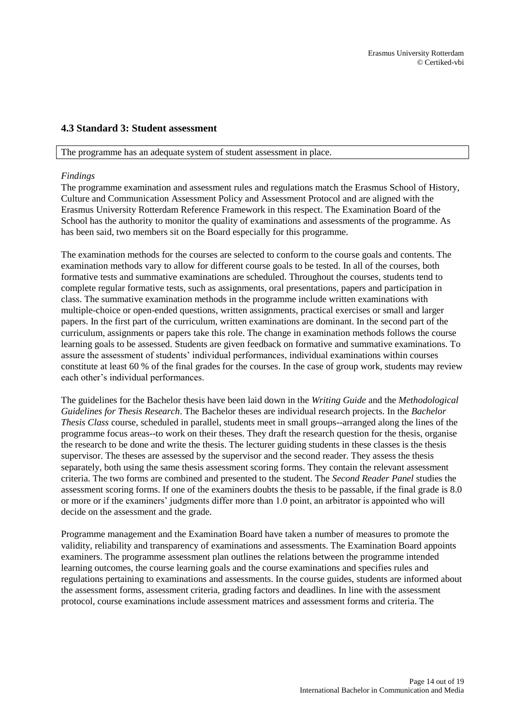### <span id="page-13-0"></span>**4.3 Standard 3: Student assessment**

#### The programme has an adequate system of student assessment in place.

#### *Findings*

The programme examination and assessment rules and regulations match the Erasmus School of History, Culture and Communication Assessment Policy and Assessment Protocol and are aligned with the Erasmus University Rotterdam Reference Framework in this respect. The Examination Board of the School has the authority to monitor the quality of examinations and assessments of the programme. As has been said, two members sit on the Board especially for this programme.

The examination methods for the courses are selected to conform to the course goals and contents. The examination methods vary to allow for different course goals to be tested. In all of the courses, both formative tests and summative examinations are scheduled. Throughout the courses, students tend to complete regular formative tests, such as assignments, oral presentations, papers and participation in class. The summative examination methods in the programme include written examinations with multiple-choice or open-ended questions, written assignments, practical exercises or small and larger papers. In the first part of the curriculum, written examinations are dominant. In the second part of the curriculum, assignments or papers take this role. The change in examination methods follows the course learning goals to be assessed. Students are given feedback on formative and summative examinations. To assure the assessment of students' individual performances, individual examinations within courses constitute at least 60 % of the final grades for the courses. In the case of group work, students may review each other's individual performances.

The guidelines for the Bachelor thesis have been laid down in the *Writing Guide* and the *Methodological Guidelines for Thesis Research*. The Bachelor theses are individual research projects. In the *Bachelor Thesis Class* course, scheduled in parallel, students meet in small groups--arranged along the lines of the programme focus areas--to work on their theses. They draft the research question for the thesis, organise the research to be done and write the thesis. The lecturer guiding students in these classes is the thesis supervisor. The theses are assessed by the supervisor and the second reader. They assess the thesis separately, both using the same thesis assessment scoring forms. They contain the relevant assessment criteria. The two forms are combined and presented to the student. The *Second Reader Panel* studies the assessment scoring forms. If one of the examiners doubts the thesis to be passable, if the final grade is 8.0 or more or if the examiners' judgments differ more than 1.0 point, an arbitrator is appointed who will decide on the assessment and the grade.

Programme management and the Examination Board have taken a number of measures to promote the validity, reliability and transparency of examinations and assessments. The Examination Board appoints examiners. The programme assessment plan outlines the relations between the programme intended learning outcomes, the course learning goals and the course examinations and specifies rules and regulations pertaining to examinations and assessments. In the course guides, students are informed about the assessment forms, assessment criteria, grading factors and deadlines. In line with the assessment protocol, course examinations include assessment matrices and assessment forms and criteria. The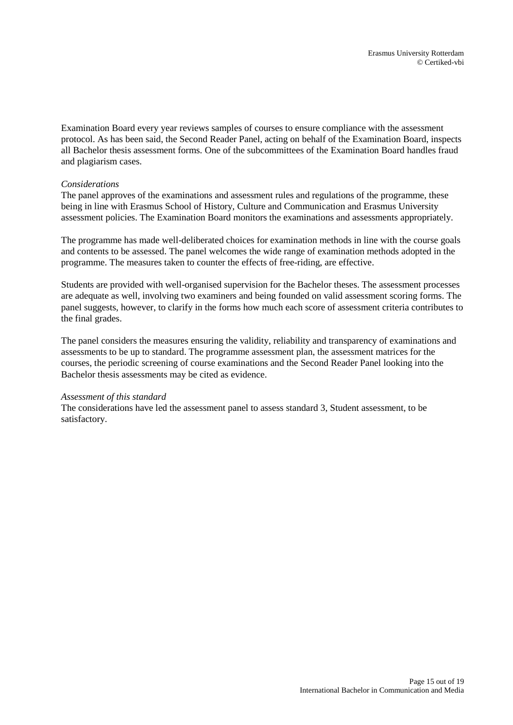Examination Board every year reviews samples of courses to ensure compliance with the assessment protocol. As has been said, the Second Reader Panel, acting on behalf of the Examination Board, inspects all Bachelor thesis assessment forms. One of the subcommittees of the Examination Board handles fraud and plagiarism cases.

### *Considerations*

The panel approves of the examinations and assessment rules and regulations of the programme, these being in line with Erasmus School of History, Culture and Communication and Erasmus University assessment policies. The Examination Board monitors the examinations and assessments appropriately.

The programme has made well-deliberated choices for examination methods in line with the course goals and contents to be assessed. The panel welcomes the wide range of examination methods adopted in the programme. The measures taken to counter the effects of free-riding, are effective.

Students are provided with well-organised supervision for the Bachelor theses. The assessment processes are adequate as well, involving two examiners and being founded on valid assessment scoring forms. The panel suggests, however, to clarify in the forms how much each score of assessment criteria contributes to the final grades.

The panel considers the measures ensuring the validity, reliability and transparency of examinations and assessments to be up to standard. The programme assessment plan, the assessment matrices for the courses, the periodic screening of course examinations and the Second Reader Panel looking into the Bachelor thesis assessments may be cited as evidence.

#### *Assessment of this standard*

The considerations have led the assessment panel to assess standard 3, Student assessment, to be satisfactory.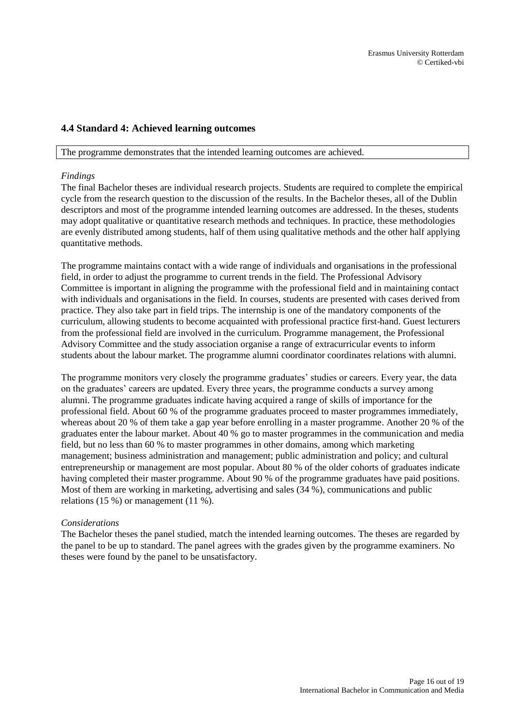# <span id="page-15-0"></span>**4.4 Standard 4: Achieved learning outcomes**

#### The programme demonstrates that the intended learning outcomes are achieved.

#### *Findings*

The final Bachelor theses are individual research projects. Students are required to complete the empirical cycle from the research question to the discussion of the results. In the Bachelor theses, all of the Dublin descriptors and most of the programme intended learning outcomes are addressed. In the theses, students may adopt qualitative or quantitative research methods and techniques. In practice, these methodologies are evenly distributed among students, half of them using qualitative methods and the other half applying quantitative methods.

The programme maintains contact with a wide range of individuals and organisations in the professional field, in order to adjust the programme to current trends in the field. The Professional Advisory Committee is important in aligning the programme with the professional field and in maintaining contact with individuals and organisations in the field. In courses, students are presented with cases derived from practice. They also take part in field trips. The internship is one of the mandatory components of the curriculum, allowing students to become acquainted with professional practice first-hand. Guest lecturers from the professional field are involved in the curriculum. Programme management, the Professional Advisory Committee and the study association organise a range of extracurricular events to inform students about the labour market. The programme alumni coordinator coordinates relations with alumni.

The programme monitors very closely the programme graduates' studies or careers. Every year, the data on the graduates' careers are updated. Every three years, the programme conducts a survey among alumni. The programme graduates indicate having acquired a range of skills of importance for the professional field. About 60 % of the programme graduates proceed to master programmes immediately, whereas about 20 % of them take a gap year before enrolling in a master programme. Another 20 % of the graduates enter the labour market. About 40 % go to master programmes in the communication and media field, but no less than 60 % to master programmes in other domains, among which marketing management; business administration and management; public administration and policy; and cultural entrepreneurship or management are most popular. About 80 % of the older cohorts of graduates indicate having completed their master programme. About 90 % of the programme graduates have paid positions. Most of them are working in marketing, advertising and sales (34 %), communications and public relations (15 %) or management (11 %).

#### *Considerations*

The Bachelor theses the panel studied, match the intended learning outcomes. The theses are regarded by the panel to be up to standard. The panel agrees with the grades given by the programme examiners. No theses were found by the panel to be unsatisfactory.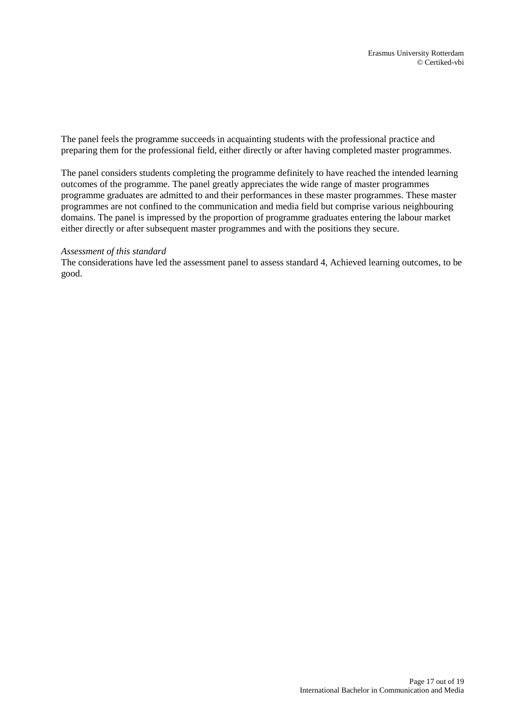The panel feels the programme succeeds in acquainting students with the professional practice and preparing them for the professional field, either directly or after having completed master programmes.

The panel considers students completing the programme definitely to have reached the intended learning outcomes of the programme. The panel greatly appreciates the wide range of master programmes programme graduates are admitted to and their performances in these master programmes. These master programmes are not confined to the communication and media field but comprise various neighbouring domains. The panel is impressed by the proportion of programme graduates entering the labour market either directly or after subsequent master programmes and with the positions they secure.

#### *Assessment of this standard*

The considerations have led the assessment panel to assess standard 4, Achieved learning outcomes, to be good.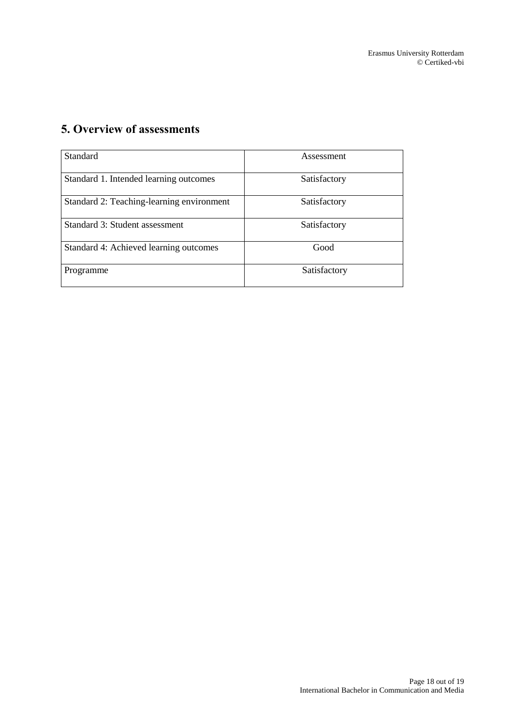# <span id="page-17-0"></span>**5. Overview of assessments**

| Standard                                  | Assessment   |
|-------------------------------------------|--------------|
| Standard 1. Intended learning outcomes    | Satisfactory |
| Standard 2: Teaching-learning environment | Satisfactory |
| Standard 3: Student assessment            | Satisfactory |
| Standard 4: Achieved learning outcomes    | Good         |
| Programme                                 | Satisfactory |